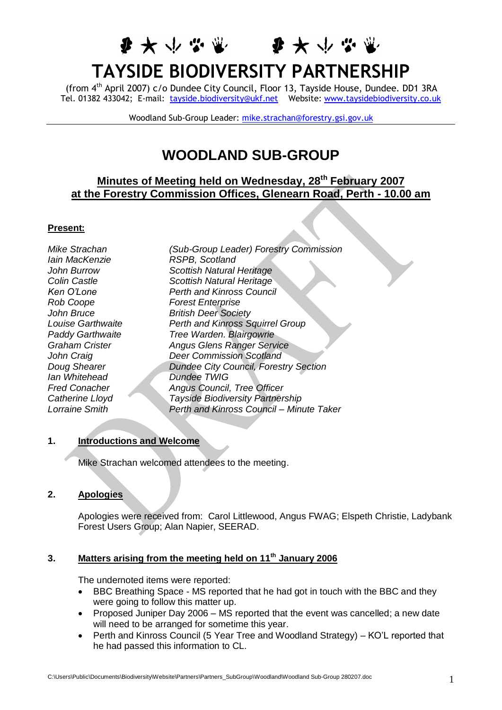# **TAYSIDE BIODIVERSITY PARTNERSHIP**

李大小心哪 李大小心

(from 4th April 2007) c/o Dundee City Council, Floor 13, Tayside House, Dundee. DD1 3RA Tel. 01382 433042; E-mail: [tayside.biodiversity@ukf.net](mailto:tayside.biodiversity@ukf.net) Website: [www.taysidebiodiversity.co.uk](http://www.taysidebiodiversity.co.uk/)

Woodland Sub-Group Leader: [mike.strachan@forestry.gsi.gov.uk](mailto:mike.strachan@forestry.gsi.gov.uk)

# **WOODLAND SUB-GROUP**

# **Minutes of Meeting held on Wednesday, 28th February 2007 at the Forestry Commission Offices, Glenearn Road, Perth - 10.00 am**

#### **Present:**

*Iain MacKenzie RSPB, Scotland Rob Coope Forest Enterprise Ian Whitehead Dundee TWIG*

*Mike Strachan (Sub-Group Leader) Forestry Commission John Burrow Scottish Natural Heritage Colin Castle Scottish Natural Heritage Ken O'Lone Perth and Kinross Council John Bruce British Deer Society Louise Garthwaite Perth and Kinross Squirrel Group Paddy Garthwaite Tree Warden. Blairgowrie Graham Crister Angus Glens Ranger Service John Craig Deer Commission Scotland Doug Shearer Dundee City Council, Forestry Section Fred Conacher Angus Council, Tree Officer Catherine Lloyd Tayside Biodiversity Partnership Lorraine Smith Perth and Kinross Council – Minute Taker*

# **1. Introductions and Welcome**

Mike Strachan welcomed attendees to the meeting.

#### **2. Apologies**

Apologies were received from: Carol Littlewood, Angus FWAG; Elspeth Christie, Ladybank Forest Users Group; Alan Napier, SEERAD.

### **3. Matters arising from the meeting held on 11th January 2006**

The undernoted items were reported:

- BBC Breathing Space MS reported that he had got in touch with the BBC and they were going to follow this matter up.
- Proposed Juniper Day 2006 MS reported that the event was cancelled; a new date will need to be arranged for sometime this year.
- Perth and Kinross Council (5 Year Tree and Woodland Strategy) KO'L reported that he had passed this information to CL.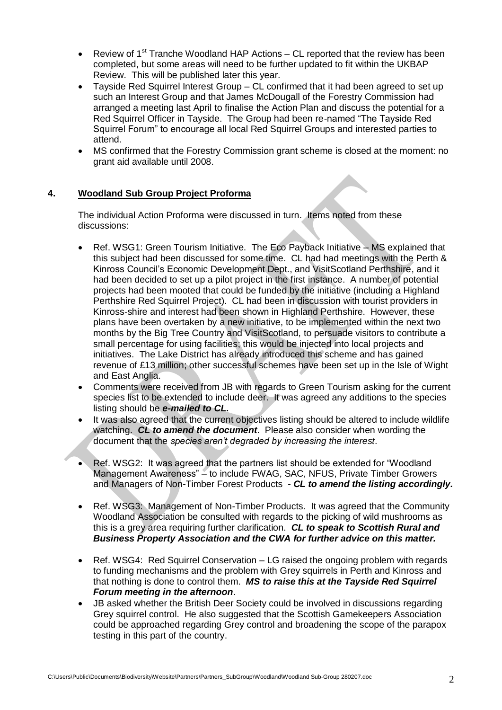- Review of  $1<sup>st</sup>$  Tranche Woodland HAP Actions CL reported that the review has been completed, but some areas will need to be further updated to fit within the UKBAP Review. This will be published later this year.
- Tayside Red Squirrel Interest Group CL confirmed that it had been agreed to set up such an Interest Group and that James McDougall of the Forestry Commission had arranged a meeting last April to finalise the Action Plan and discuss the potential for a Red Squirrel Officer in Tayside. The Group had been re-named "The Tayside Red Squirrel Forum" to encourage all local Red Squirrel Groups and interested parties to attend.
- MS confirmed that the Forestry Commission grant scheme is closed at the moment: no grant aid available until 2008.

### **4. Woodland Sub Group Project Proforma**

The individual Action Proforma were discussed in turn. Items noted from these discussions:

- Ref. WSG1: Green Tourism Initiative. The Eco Payback Initiative MS explained that this subject had been discussed for some time. CL had had meetings with the Perth & Kinross Council's Economic Development Dept., and VisitScotland Perthshire, and it had been decided to set up a pilot project in the first instance. A number of potential projects had been mooted that could be funded by the initiative (including a Highland Perthshire Red Squirrel Project). CL had been in discussion with tourist providers in Kinross-shire and interest had been shown in Highland Perthshire. However, these plans have been overtaken by a new initiative, to be implemented within the next two months by the Big Tree Country and VisitScotland, to persuade visitors to contribute a small percentage for using facilities; this would be injected into local projects and initiatives. The Lake District has already introduced this scheme and has gained revenue of £13 million; other successful schemes have been set up in the Isle of Wight and East Anglia.
- Comments were received from JB with regards to Green Tourism asking for the current species list to be extended to include deer. It was agreed any additions to the species listing should be *e-mailed to CL.*
- It was also agreed that the current objectives listing should be altered to include wildlife watching. *CL to amend the document*. Please also consider when wording the document that the *species aren't degraded by increasing the interest*.
- Ref. WSG2: It was agreed that the partners list should be extended for "Woodland" Management Awareness" – to include FWAG, SAC, NFUS, Private Timber Growers and Managers of Non-Timber Forest Products - *CL to amend the listing accordingly.*
- Ref. WSG3: Management of Non-Timber Products. It was agreed that the Community Woodland Association be consulted with regards to the picking of wild mushrooms as this is a grey area requiring further clarification. *CL to speak to Scottish Rural and Business Property Association and the CWA for further advice on this matter.*
- Ref. WSG4: Red Squirrel Conservation LG raised the ongoing problem with regards to funding mechanisms and the problem with Grey squirrels in Perth and Kinross and that nothing is done to control them. *MS to raise this at the Tayside Red Squirrel Forum meeting in the afternoon*.
- JB asked whether the British Deer Society could be involved in discussions regarding Grey squirrel control. He also suggested that the Scottish Gamekeepers Association could be approached regarding Grey control and broadening the scope of the parapox testing in this part of the country.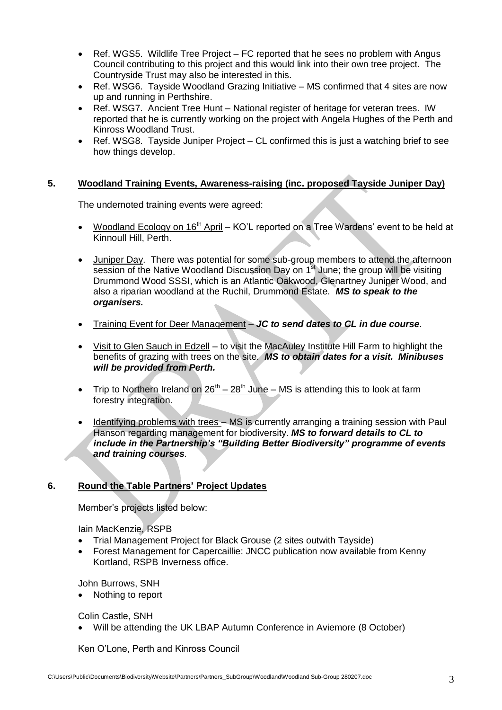- Ref. WGS5. Wildlife Tree Project FC reported that he sees no problem with Angus Council contributing to this project and this would link into their own tree project. The Countryside Trust may also be interested in this.
- Ref. WSG6. Tayside Woodland Grazing Initiative MS confirmed that 4 sites are now up and running in Perthshire.
- Ref. WSG7. Ancient Tree Hunt National register of heritage for veteran trees. IW reported that he is currently working on the project with Angela Hughes of the Perth and Kinross Woodland Trust.
- Ref. WSG8. Tayside Juniper Project CL confirmed this is just a watching brief to see how things develop.

### **5. Woodland Training Events, Awareness-raising (inc. proposed Tayside Juniper Day)**

The undernoted training events were agreed:

- Woodland Ecology on 16<sup>th</sup> April KO'L reported on a Tree Wardens' event to be held at Kinnoull Hill, Perth.
- Juniper Day. There was potential for some sub-group members to attend the afternoon session of the Native Woodland Discussion Day on 1<sup>st</sup> June; the group will be visiting Drummond Wood SSSI, which is an Atlantic Oakwood, Glenartney Juniper Wood, and also a riparian woodland at the Ruchil, Drummond Estate. *MS to speak to the organisers.*
- Training Event for Deer Management *JC to send dates to CL in due course.*
- Visit to Glen Sauch in Edzell to visit the MacAuley Institute Hill Farm to highlight the benefits of grazing with trees on the site. *MS to obtain dates for a visit. Minibuses will be provided from Perth.*
- Trip to Northern Ireland on  $26^{th} 28^{th}$  June MS is attending this to look at farm forestry integration.
- Identifying problems with trees MS is currently arranging a training session with Paul Hanson regarding management for biodiversity. *MS to forward details to CL to include in the Partnership's "Building Better Biodiversity" programme of events and training courses.*

# **6. Round the Table Partners' Project Updates**

Member's projects listed below:

Iain MacKenzie, RSPB

- Trial Management Project for Black Grouse (2 sites outwith Tayside)
- Forest Management for Capercaillie: JNCC publication now available from Kenny Kortland, RSPB Inverness office.

John Burrows, SNH

• Nothing to report

Colin Castle, SNH

Will be attending the UK LBAP Autumn Conference in Aviemore (8 October)

Ken O'Lone, Perth and Kinross Council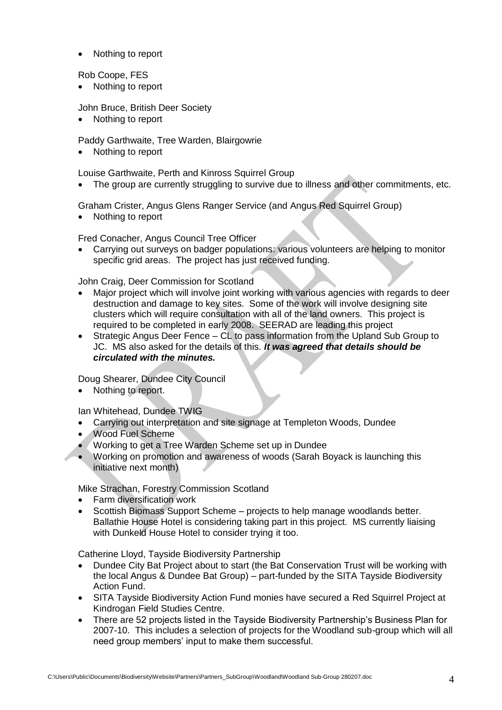• Nothing to report

Rob Coope, FES

• Nothing to report

John Bruce, British Deer Society

• Nothing to report

Paddy Garthwaite, Tree Warden, Blairgowrie

• Nothing to report

Louise Garthwaite, Perth and Kinross Squirrel Group

The group are currently struggling to survive due to illness and other commitments, etc.

Graham Crister, Angus Glens Ranger Service (and Angus Red Squirrel Group)

• Nothing to report

Fred Conacher, Angus Council Tree Officer

 Carrying out surveys on badger populations: various volunteers are helping to monitor specific grid areas. The project has just received funding.

John Craig, Deer Commission for Scotland

- Major project which will involve joint working with various agencies with regards to deer destruction and damage to key sites. Some of the work will involve designing site clusters which will require consultation with all of the land owners. This project is required to be completed in early 2008. SEERAD are leading this project
- Strategic Angus Deer Fence CL to pass information from the Upland Sub Group to JC. MS also asked for the details of this. *It was agreed that details should be circulated with the minutes.*

Doug Shearer, Dundee City Council

• Nothing to report.

Ian Whitehead, Dundee TWIG

- Carrying out interpretation and site signage at Templeton Woods, Dundee
- Wood Fuel Scheme
- Working to get a Tree Warden Scheme set up in Dundee
- Working on promotion and awareness of woods (Sarah Boyack is launching this initiative next month)

Mike Strachan, Forestry Commission Scotland

- Farm diversification work
- Scottish Biomass Support Scheme projects to help manage woodlands better. Ballathie House Hotel is considering taking part in this project. MS currently liaising with Dunkeld House Hotel to consider trying it too.

Catherine Lloyd, Tayside Biodiversity Partnership

- Dundee City Bat Project about to start (the Bat Conservation Trust will be working with the local Angus & Dundee Bat Group) – part-funded by the SITA Tayside Biodiversity Action Fund.
- SITA Tayside Biodiversity Action Fund monies have secured a Red Squirrel Project at Kindrogan Field Studies Centre.
- There are 52 projects listed in the Tayside Biodiversity Partnership's Business Plan for 2007-10. This includes a selection of projects for the Woodland sub-group which will all need group members' input to make them successful.